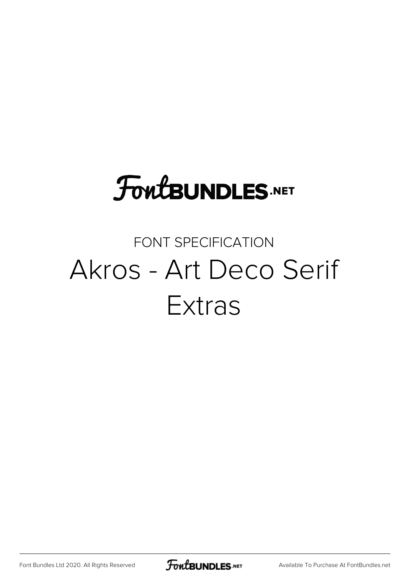## **FoutBUNDLES.NET**

## FONT SPECIFICATION Akros - Art Deco Serif Extras

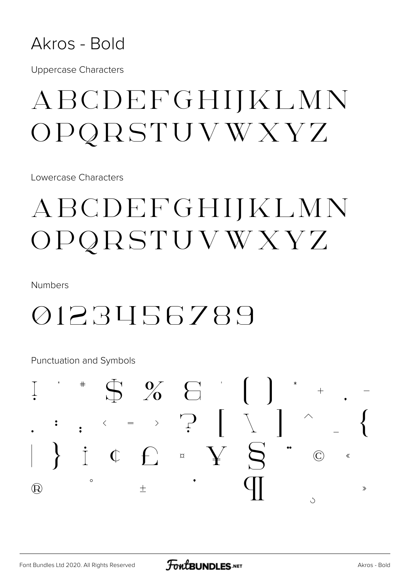

**Uppercase Characters** 

## ABCDEFGHIJKLMN OPQRSTUVWXYZ

Lowercase Characters

## ABCDEFGHIJKLMN OPQRSTUVWXYZ

**Numbers** 

## 0123456789

**Punctuation and Symbols** 

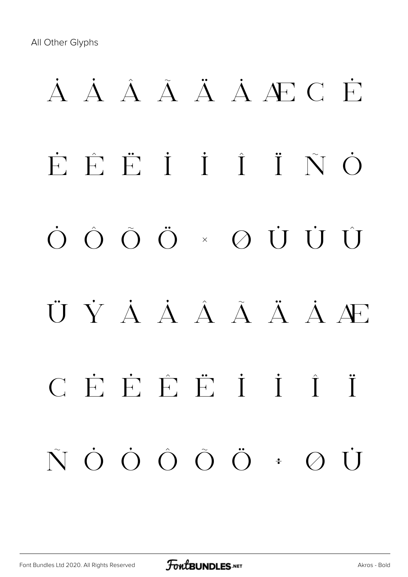## **À Á Â Ã Ä Å Æ Ç È É Ê Ë Ì Í Î Ï Ñ Ò Ó Ô Õ Ö × Ø Ù Ú Û Ü Ý à á â ã ä å æ ç è é ê ë ì í î ï ñ ò ó ô õ ö ÷ ø ù**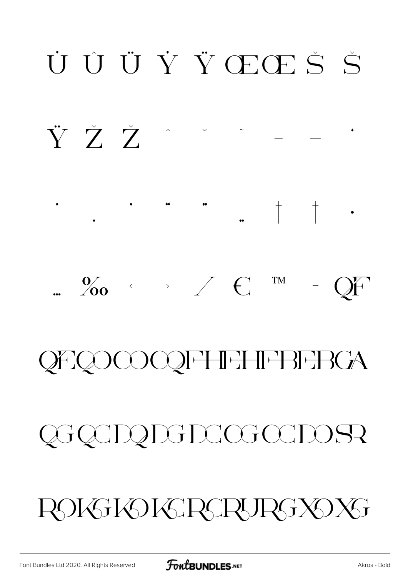## $\frac{1}{2}$  $\frac{0}{200}$   $\rightarrow$   $\leftarrow$   $\in$ TM  $Qf'$ **QEQOOOQFHEHFBEBGA** QGQCDQDGDCGCCDOSR ROKSKOKSRSRSRSXOXS

## UUÜŸŒŒŠŠ

ŸŽŽ" \* \* \*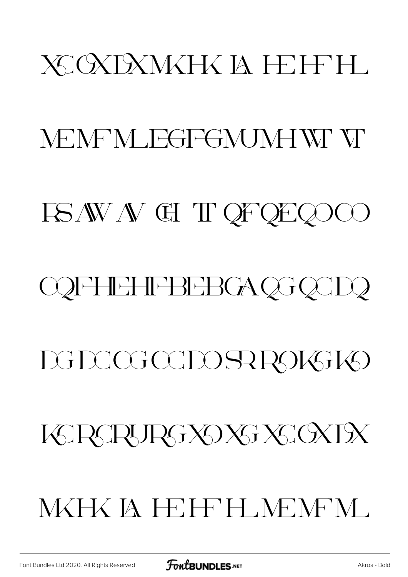## XCXDXMXHX IA H-H-H

### MEMEM FGFGMJMHW VI

### **FSAWAV GI TI QFQEQOCO**

## **COFFIEHFBEBGAQGQCDQ**

## **DGDCGCCDOSRPOKSKO**

## KRAPRGXOXGXGXDX

## **MKHK IA HEIFFH MEMEM.**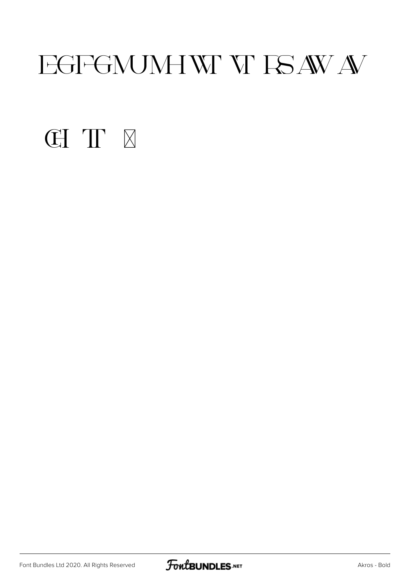## EGFGNUMHWY ISAWA

#### **CITE**

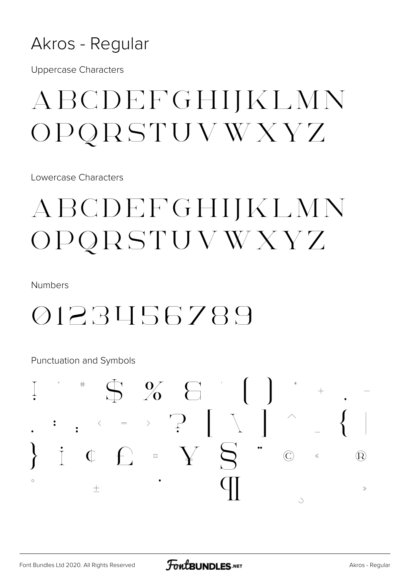#### Akros - Regular

**Uppercase Characters** 

## ABCDEFGHIJKLMN OPQRSTUVWXYZ

Lowercase Characters

## ABCDEFGHIJKLMN OPQRSTUVWXYZ

**Numbers** 

## 0123456789

**Punctuation and Symbols** 

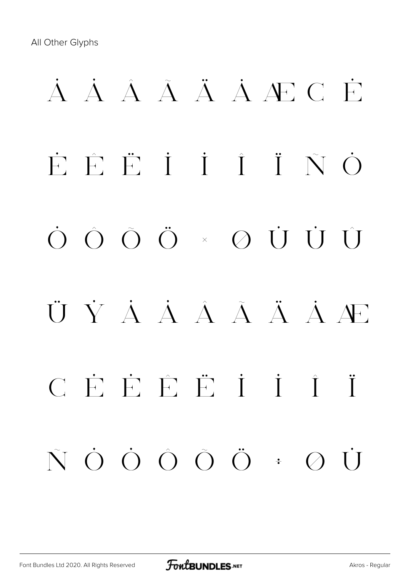## À Á Â Ã Ä Å Æ Ç È É Ê Ë Ì Í Î Ï Ñ Ò Ó Ô Õ Ö × Ø Ù Ú Û Ü Ý À À Â Ã Ä Ä Æ ç è é ê ë ì í î ï ñ ò ó ô õ ö ÷ ø ù

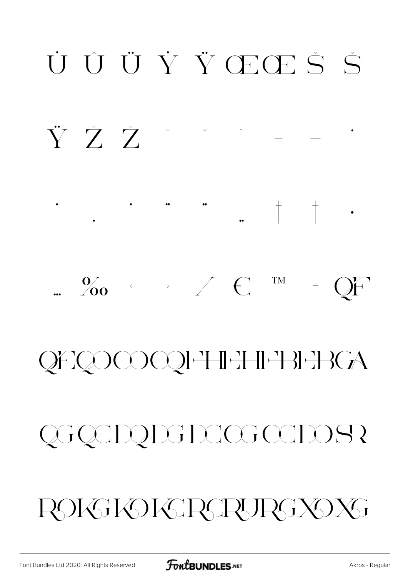

ROKSKOKSRSRSRSXOXS

Akros - Regular

QGQCDQDGDCGCCDOSR

## **QEQOCOQFHEHFBEBGA**



 $\begin{array}{c|c|c|c|c} \hline \rule{0pt}{12pt} \end{array} \hspace{0.25cm} \begin{array}{c} \hline \rule{0pt}{12pt} \end{array} \hspace{0.25cm} \begin{array}{c} \hline \rule{0pt}{12pt} \end{array} \hspace{0.25cm} \begin{array}{c} \hline \rule{0pt}{12pt} \end{array} \hspace{0.25cm} \begin{array}{c} \hline \rule{0pt}{12pt} \end{array} \hspace{0.25cm} \begin{array}{c} \hline \rule{0pt}{12pt} \end{array} \hspace{0.25cm} \begin$ 

#### $\begin{array}{ccccccccccccc} \multicolumn{2}{c}{} & \multicolumn{2}{c}{} & \multicolumn{2}{c}{} & \multicolumn{2}{c}{} & \multicolumn{2}{c}{} & \multicolumn{2}{c}{} & \multicolumn{2}{c}{} & \multicolumn{2}{c}{} & \multicolumn{2}{c}{} & \multicolumn{2}{c}{} & \multicolumn{2}{c}{} & \multicolumn{2}{c}{} & \multicolumn{2}{c}{} & \multicolumn{2}{c}{} & \multicolumn{2}{c}{} & \multicolumn{2}{c}{} & \multicolumn{2}{c}{} & \multicolumn{2}{c}{} & \multicolumn{2}{c}{} & \$ ŸŽŽ

## UUÜŸVŒŒŠŠ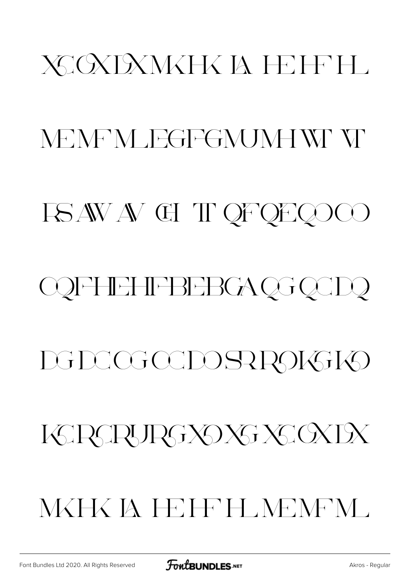# XCOXDXMXHX IA HEIFFH MEMEM JEGFGMJMHWEVE ISAWAV GIT QFQEQOOO

## **COFFIEHFBEBGAQGQCDQ**

## DGDCGCCDOSRR9IGIK9

## KRAPRGXOXGXGXDX

## NKHK IA IEIFELMENEM.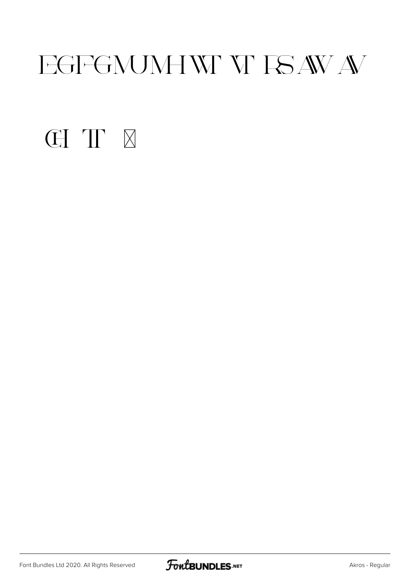## EGFGNUMHWY ISAWA

#### **CITE**

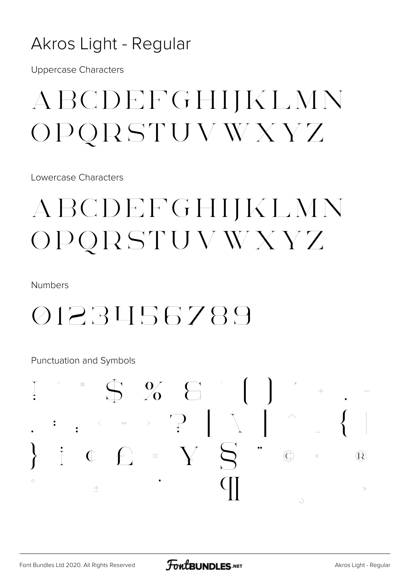#### Akros Light - Regular

**Uppercase Characters** 

## ABCDEFGHIJKLMN OPQRSTUVWXYZ

Lowercase Characters

## ABCDEFGHIJKLMN OPQRSTUVWXYZ

**Numbers** 

## 0123456789

Punctuation and Symbols

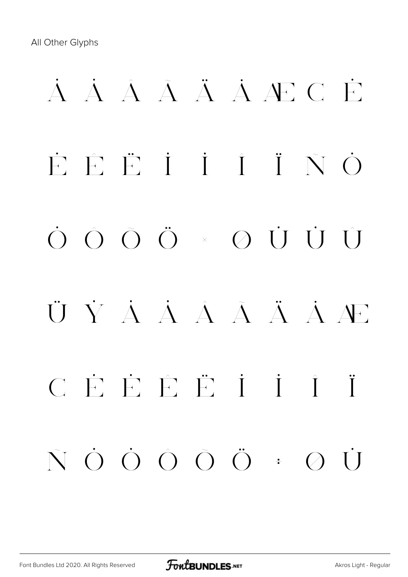## À Á Â Ã Ä Å Æ Ç È É Ê Ë Ì Í Î Ï Ñ Ò Ó Ô Õ Ö × Ø Ù Ú Û Ü Ý à á â ã ä å æ ç è é ê ë ì í î ï ñ ò ó ô õ ö ÷ ø ù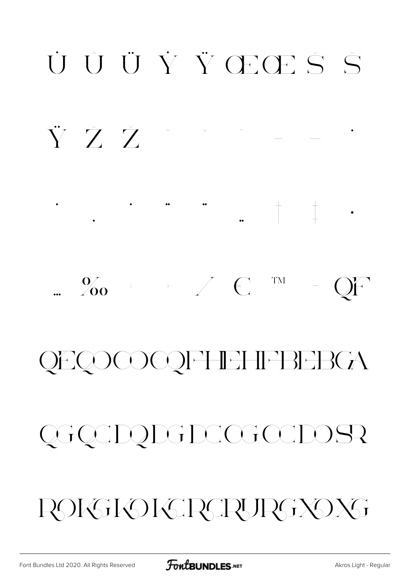FontBUNDLES.NET

ROKSKOKSRSRURGXOXS

## QGQCDQDGDCGCCDOSR

## **QEQOCOQFHEHFBEBGA**

#### $\frac{0}{200}$   $\leftarrow$   $\leftarrow$   $\leftarrow$   $\leftarrow$ TM QF  $\frac{1}{\sqrt{2}}$

ŸŽŽ

## UUÜŸŸŒŒŠŠ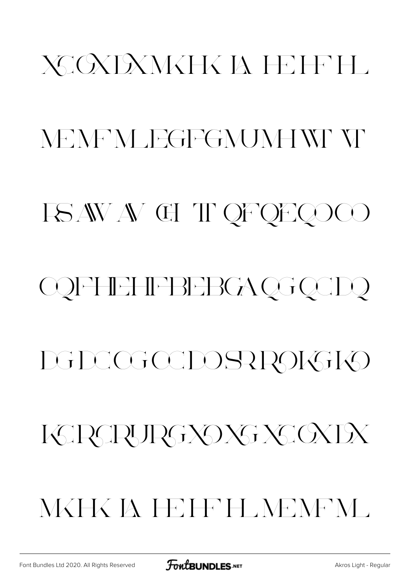# XCXDXMXHX IA H-IFH MEMEN JEGFGMJMHWEVE ISAWAVCHTQFQEQOOO **COFFIEHFBEBGAQGQCDQ** DGDCGCCDOSRR9IGIO KERCRURGXOXGXGXEX NKHK IA I EIFH NENEM .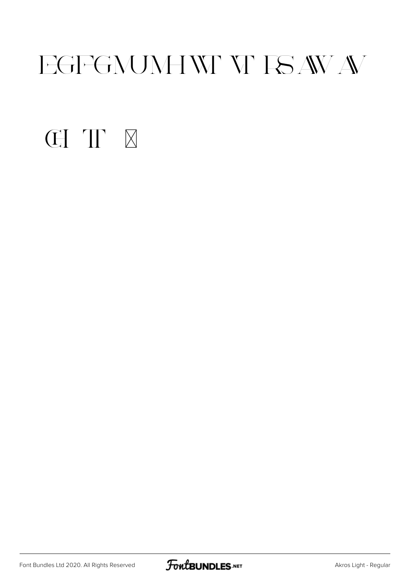## EGFGNUMHWY W ISAWAV

### **CITE**

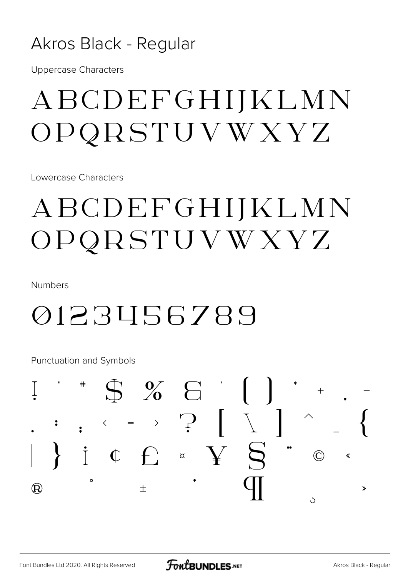#### Akros Black - Regular

**Uppercase Characters** 

## ABCDEFGHIJKLMN  $OPQRSTUVWXYZ$

Lowercase Characters

## ABCDEFGHIJKLMN OPQRSTUVWXYZ

**Numbers** 

## 0123456789

**Punctuation and Symbols** 

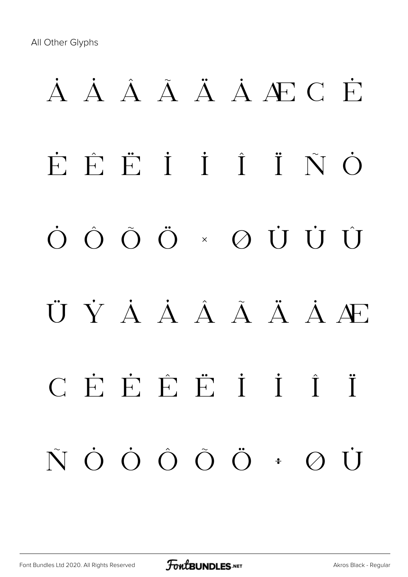## À Á Â Ã Ä Å Æ Ç È É Ê Ë Ì Í Î Ï Ñ Ò Ó Ô Õ Ö × Ø Ù Ú Û Ü Ý Á Á Â Ã Ä Ä Æ ç è é ê ë ì í î ï ñ ò ó ô õ ö ÷ ø ù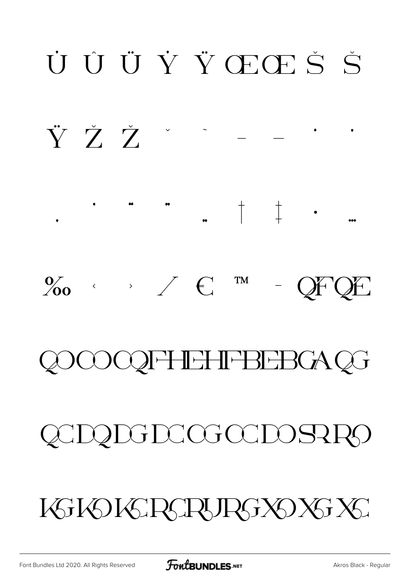## ŸŽŽ'  $\bullet$  $\bullet\bullet\bullet$  $\%$   $\circ$   $\qquad \circ$   $\qquad \circ$   $\qquad \circ$ **TM**  $- QFQE$ **COFFIEHFBEBGAQG** QCDQDGDCGCCDOSRRO KGKOKGRGRURGXOXGXG

UUÜŸŒŒŠŠ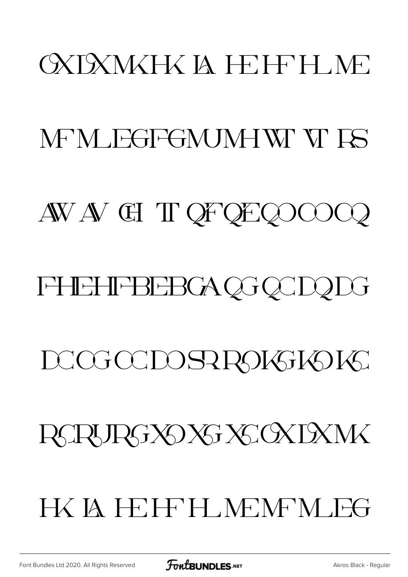## **OXIXWKHXIA HEIFH NE**

### MEM JEGFGMJMHWE VE ES

### AW AV GI T OF OE QOOOQ

## **FHEHFBEBGAQGQCDQDG**

## DCGCCDOSRROKSKOK

## RCRURGXOXGXCXDXMX

## HX IA HEIFFH NEMFM FG